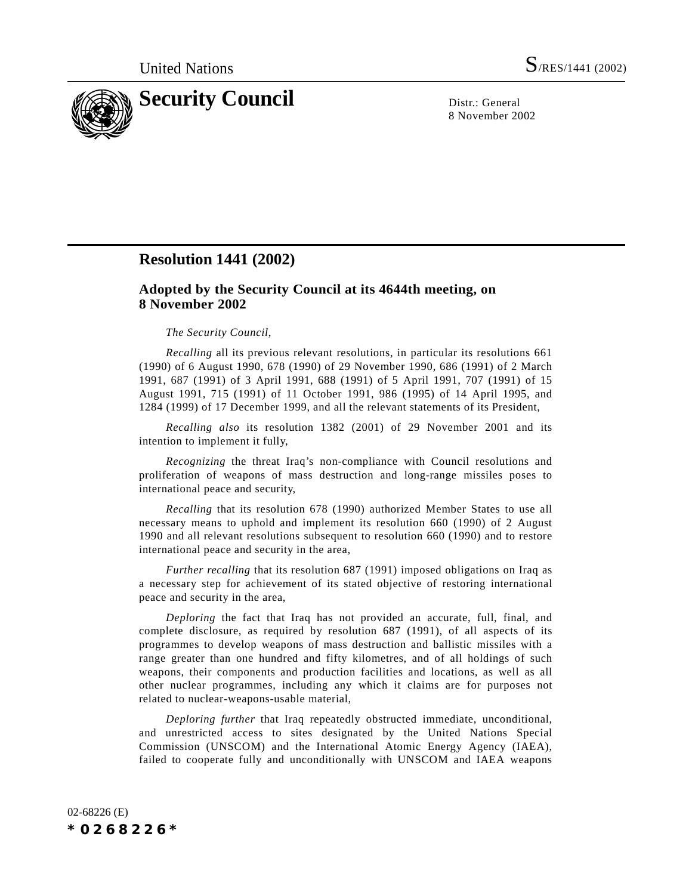

8 November 2002

# **Resolution 1441 (2002)**

## **Adopted by the Security Council at its 4644th meeting, on 8 November 2002**

### *The Security Council*,

*Recalling* all its previous relevant resolutions, in particular its resolutions 661 (1990) of 6 August 1990, 678 (1990) of 29 November 1990, 686 (1991) of 2 March 1991, 687 (1991) of 3 April 1991, 688 (1991) of 5 April 1991, 707 (1991) of 15 August 1991, 715 (1991) of 11 October 1991, 986 (1995) of 14 April 1995, and 1284 (1999) of 17 December 1999, and all the relevant statements of its President,

*Recalling also* its resolution 1382 (2001) of 29 November 2001 and its intention to implement it fully,

*Recognizing* the threat Iraq's non-compliance with Council resolutions and proliferation of weapons of mass destruction and long-range missiles poses to international peace and security,

*Recalling* that its resolution 678 (1990) authorized Member States to use all necessary means to uphold and implement its resolution 660 (1990) of 2 August 1990 and all relevant resolutions subsequent to resolution 660 (1990) and to restore international peace and security in the area,

*Further recalling* that its resolution 687 (1991) imposed obligations on Iraq as a necessary step for achievement of its stated objective of restoring international peace and security in the area,

*Deploring* the fact that Iraq has not provided an accurate, full, final, and complete disclosure, as required by resolution 687 (1991), of all aspects of its programmes to develop weapons of mass destruction and ballistic missiles with a range greater than one hundred and fifty kilometres, and of all holdings of such weapons, their components and production facilities and locations, as well as all other nuclear programmes, including any which it claims are for purposes not related to nuclear-weapons-usable material,

*Deploring further* that Iraq repeatedly obstructed immediate, unconditional, and unrestricted access to sites designated by the United Nations Special Commission (UNSCOM) and the International Atomic Energy Agency (IAEA), failed to cooperate fully and unconditionally with UNSCOM and IAEA weapons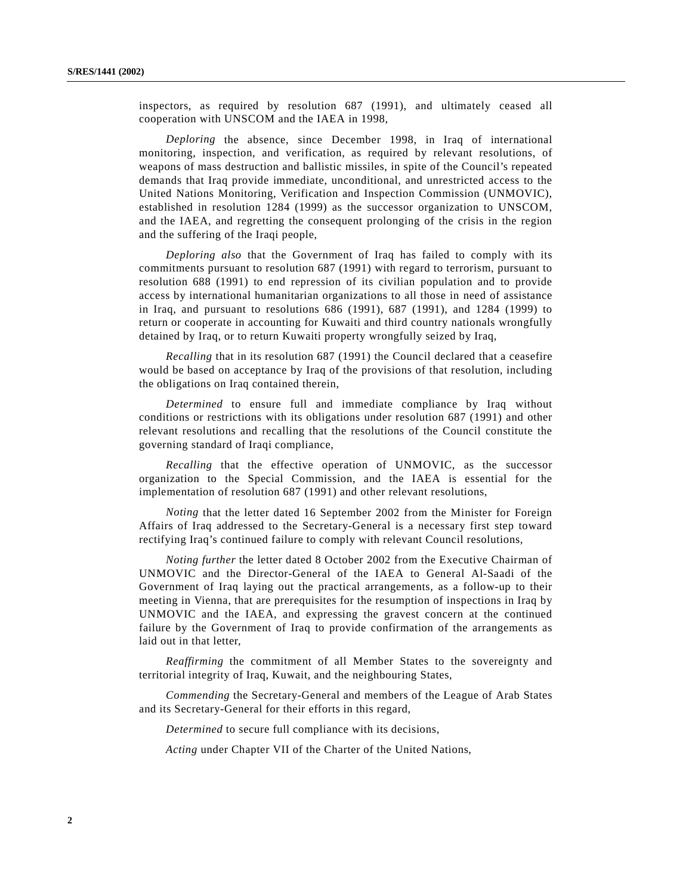inspectors, as required by resolution 687 (1991), and ultimately ceased all cooperation with UNSCOM and the IAEA in 1998,

*Deploring* the absence, since December 1998, in Iraq of international monitoring, inspection, and verification, as required by relevant resolutions, of weapons of mass destruction and ballistic missiles, in spite of the Council's repeated demands that Iraq provide immediate, unconditional, and unrestricted access to the United Nations Monitoring, Verification and Inspection Commission (UNMOVIC), established in resolution 1284 (1999) as the successor organization to UNSCOM, and the IAEA, and regretting the consequent prolonging of the crisis in the region and the suffering of the Iraqi people,

*Deploring also* that the Government of Iraq has failed to comply with its commitments pursuant to resolution 687 (1991) with regard to terrorism, pursuant to resolution 688 (1991) to end repression of its civilian population and to provide access by international humanitarian organizations to all those in need of assistance in Iraq, and pursuant to resolutions 686 (1991), 687 (1991), and 1284 (1999) to return or cooperate in accounting for Kuwaiti and third country nationals wrongfully detained by Iraq, or to return Kuwaiti property wrongfully seized by Iraq,

*Recalling* that in its resolution 687 (1991) the Council declared that a ceasefire would be based on acceptance by Iraq of the provisions of that resolution, including the obligations on Iraq contained therein,

*Determined* to ensure full and immediate compliance by Iraq without conditions or restrictions with its obligations under resolution 687 (1991) and other relevant resolutions and recalling that the resolutions of the Council constitute the governing standard of Iraqi compliance,

*Recalling* that the effective operation of UNMOVIC, as the successor organization to the Special Commission, and the IAEA is essential for the implementation of resolution 687 (1991) and other relevant resolutions,

*Noting* that the letter dated 16 September 2002 from the Minister for Foreign Affairs of Iraq addressed to the Secretary-General is a necessary first step toward rectifying Iraq's continued failure to comply with relevant Council resolutions,

*Noting further* the letter dated 8 October 2002 from the Executive Chairman of UNMOVIC and the Director-General of the IAEA to General Al-Saadi of the Government of Iraq laying out the practical arrangements, as a follow-up to their meeting in Vienna, that are prerequisites for the resumption of inspections in Iraq by UNMOVIC and the IAEA, and expressing the gravest concern at the continued failure by the Government of Iraq to provide confirmation of the arrangements as laid out in that letter,

*Reaffirming* the commitment of all Member States to the sovereignty and territorial integrity of Iraq, Kuwait, and the neighbouring States,

*Commending* the Secretary-General and members of the League of Arab States and its Secretary-General for their efforts in this regard,

*Determined* to secure full compliance with its decisions,

*Acting* under Chapter VII of the Charter of the United Nations,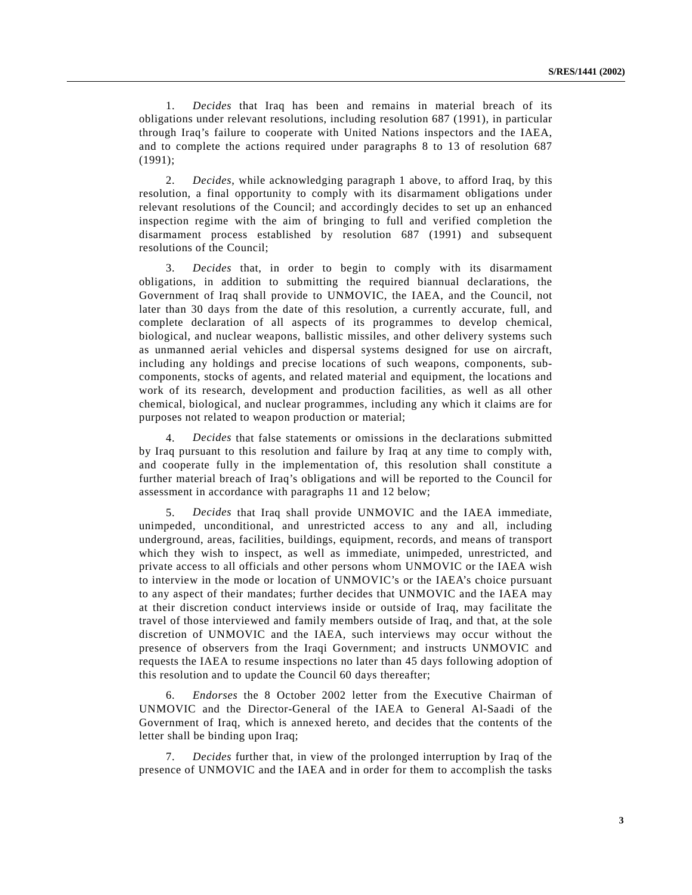1. *Decides* that Iraq has been and remains in material breach of its obligations under relevant resolutions, including resolution 687 (1991), in particular through Iraq's failure to cooperate with United Nations inspectors and the IAEA, and to complete the actions required under paragraphs 8 to 13 of resolution 687 (1991);

2. *Decides*, while acknowledging paragraph 1 above, to afford Iraq, by this resolution, a final opportunity to comply with its disarmament obligations under relevant resolutions of the Council; and accordingly decides to set up an enhanced inspection regime with the aim of bringing to full and verified completion the disarmament process established by resolution 687 (1991) and subsequent resolutions of the Council;

3. *Decides* that, in order to begin to comply with its disarmament obligations, in addition to submitting the required biannual declarations, the Government of Iraq shall provide to UNMOVIC, the IAEA, and the Council, not later than 30 days from the date of this resolution, a currently accurate, full, and complete declaration of all aspects of its programmes to develop chemical, biological, and nuclear weapons, ballistic missiles, and other delivery systems such as unmanned aerial vehicles and dispersal systems designed for use on aircraft, including any holdings and precise locations of such weapons, components, subcomponents, stocks of agents, and related material and equipment, the locations and work of its research, development and production facilities, as well as all other chemical, biological, and nuclear programmes, including any which it claims are for purposes not related to weapon production or material;

4. *Decides* that false statements or omissions in the declarations submitted by Iraq pursuant to this resolution and failure by Iraq at any time to comply with, and cooperate fully in the implementation of, this resolution shall constitute a further material breach of Iraq's obligations and will be reported to the Council for assessment in accordance with paragraphs 11 and 12 below;

5. *Decides* that Iraq shall provide UNMOVIC and the IAEA immediate, unimpeded, unconditional, and unrestricted access to any and all, including underground, areas, facilities, buildings, equipment, records, and means of transport which they wish to inspect, as well as immediate, unimpeded, unrestricted, and private access to all officials and other persons whom UNMOVIC or the IAEA wish to interview in the mode or location of UNMOVIC's or the IAEA's choice pursuant to any aspect of their mandates; further decides that UNMOVIC and the IAEA may at their discretion conduct interviews inside or outside of Iraq, may facilitate the travel of those interviewed and family members outside of Iraq, and that, at the sole discretion of UNMOVIC and the IAEA, such interviews may occur without the presence of observers from the Iraqi Government; and instructs UNMOVIC and requests the IAEA to resume inspections no later than 45 days following adoption of this resolution and to update the Council 60 days thereafter;

6. *Endorses* the 8 October 2002 letter from the Executive Chairman of UNMOVIC and the Director-General of the IAEA to General Al-Saadi of the Government of Iraq, which is annexed hereto, and decides that the contents of the letter shall be binding upon Iraq;

7. *Decides* further that, in view of the prolonged interruption by Iraq of the presence of UNMOVIC and the IAEA and in order for them to accomplish the tasks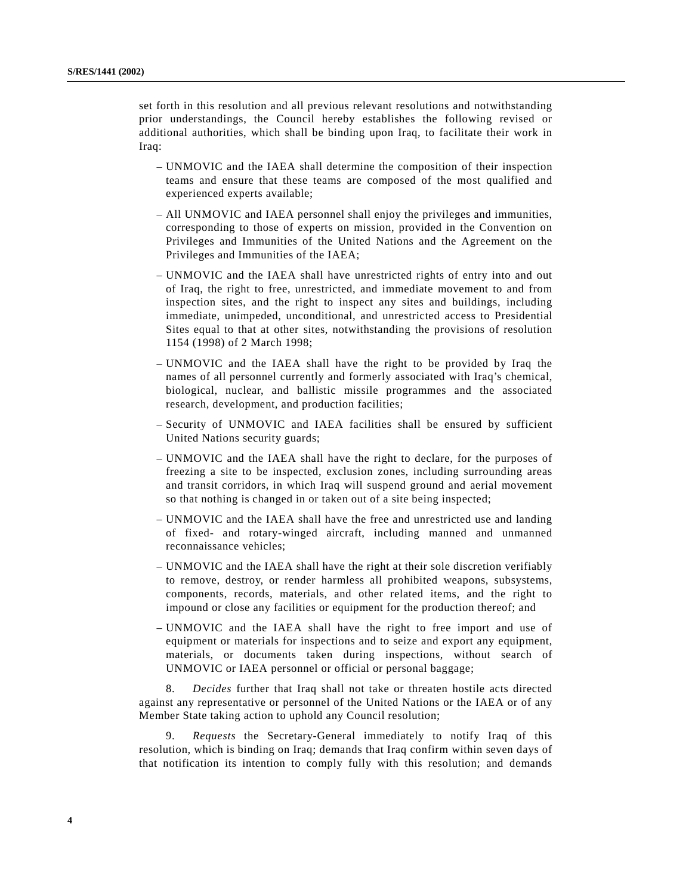set forth in this resolution and all previous relevant resolutions and notwithstanding prior understandings, the Council hereby establishes the following revised or additional authorities, which shall be binding upon Iraq, to facilitate their work in Iraq:

- UNMOVIC and the IAEA shall determine the composition of their inspection teams and ensure that these teams are composed of the most qualified and experienced experts available;
- All UNMOVIC and IAEA personnel shall enjoy the privileges and immunities, corresponding to those of experts on mission, provided in the Convention on Privileges and Immunities of the United Nations and the Agreement on the Privileges and Immunities of the IAEA;
- UNMOVIC and the IAEA shall have unrestricted rights of entry into and out of Iraq, the right to free, unrestricted, and immediate movement to and from inspection sites, and the right to inspect any sites and buildings, including immediate, unimpeded, unconditional, and unrestricted access to Presidential Sites equal to that at other sites, notwithstanding the provisions of resolution 1154 (1998) of 2 March 1998;
- UNMOVIC and the IAEA shall have the right to be provided by Iraq the names of all personnel currently and formerly associated with Iraq's chemical, biological, nuclear, and ballistic missile programmes and the associated research, development, and production facilities;
- Security of UNMOVIC and IAEA facilities shall be ensured by sufficient United Nations security guards;
- UNMOVIC and the IAEA shall have the right to declare, for the purposes of freezing a site to be inspected, exclusion zones, including surrounding areas and transit corridors, in which Iraq will suspend ground and aerial movement so that nothing is changed in or taken out of a site being inspected;
- UNMOVIC and the IAEA shall have the free and unrestricted use and landing of fixed- and rotary-winged aircraft, including manned and unmanned reconnaissance vehicles;
- UNMOVIC and the IAEA shall have the right at their sole discretion verifiably to remove, destroy, or render harmless all prohibited weapons, subsystems, components, records, materials, and other related items, and the right to impound or close any facilities or equipment for the production thereof; and
- UNMOVIC and the IAEA shall have the right to free import and use of equipment or materials for inspections and to seize and export any equipment, materials, or documents taken during inspections, without search of UNMOVIC or IAEA personnel or official or personal baggage;

8. *Decides* further that Iraq shall not take or threaten hostile acts directed against any representative or personnel of the United Nations or the IAEA or of any Member State taking action to uphold any Council resolution;

9. *Requests* the Secretary-General immediately to notify Iraq of this resolution, which is binding on Iraq; demands that Iraq confirm within seven days of that notification its intention to comply fully with this resolution; and demands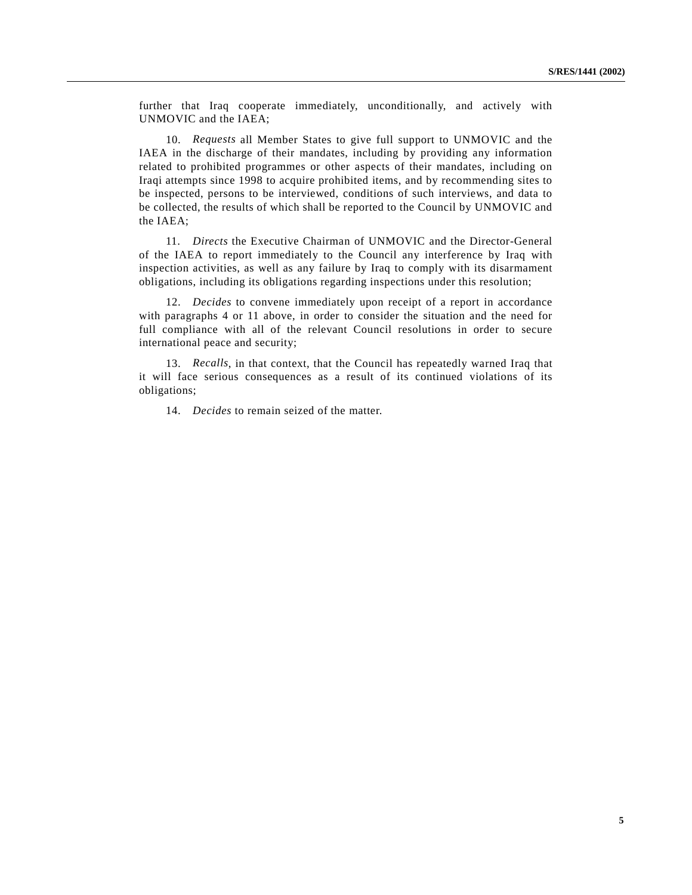further that Iraq cooperate immediately, unconditionally, and actively with UNMOVIC and the IAEA;

10. *Requests* all Member States to give full support to UNMOVIC and the IAEA in the discharge of their mandates, including by providing any information related to prohibited programmes or other aspects of their mandates, including on Iraqi attempts since 1998 to acquire prohibited items, and by recommending sites to be inspected, persons to be interviewed, conditions of such interviews, and data to be collected, the results of which shall be reported to the Council by UNMOVIC and the IAEA;

11. *Directs* the Executive Chairman of UNMOVIC and the Director-General of the IAEA to report immediately to the Council any interference by Iraq with inspection activities, as well as any failure by Iraq to comply with its disarmament obligations, including its obligations regarding inspections under this resolution;

12. *Decides* to convene immediately upon receipt of a report in accordance with paragraphs 4 or 11 above, in order to consider the situation and the need for full compliance with all of the relevant Council resolutions in order to secure international peace and security;

13. *Recalls*, in that context, that the Council has repeatedly warned Iraq that it will face serious consequences as a result of its continued violations of its obligations;

14. *Decides* to remain seized of the matter.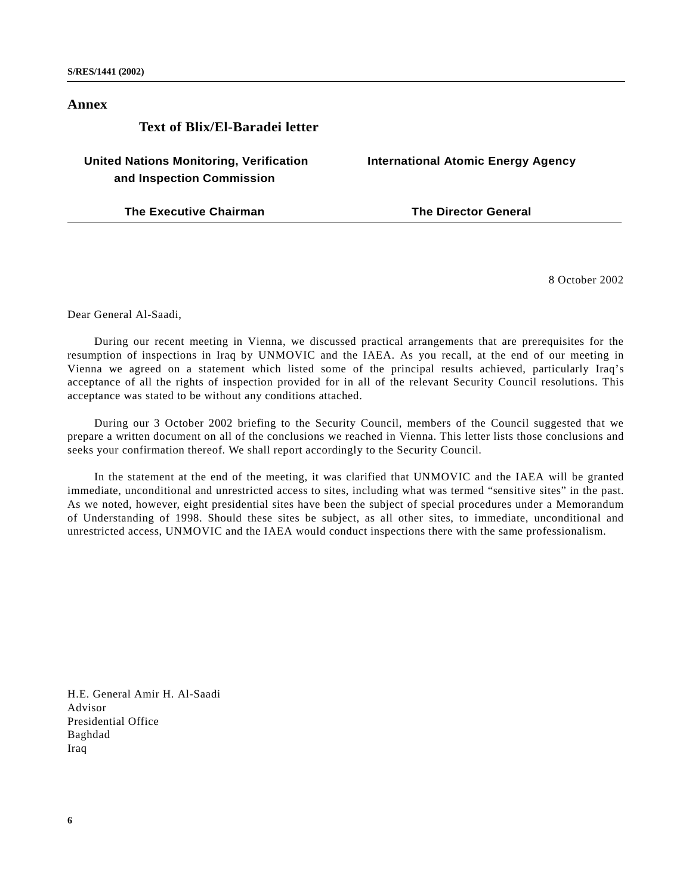**Annex**

## **Text of Blix/El-Baradei letter**

# **United Nations Monitoring, Verification and Inspection Commission**

**The Executive Chairman**

**International Atomic Energy Agency**

**The Director General**

8 October 2002

Dear General Al-Saadi,

During our recent meeting in Vienna, we discussed practical arrangements that are prerequisites for the resumption of inspections in Iraq by UNMOVIC and the IAEA. As you recall, at the end of our meeting in Vienna we agreed on a statement which listed some of the principal results achieved, particularly Iraq's acceptance of all the rights of inspection provided for in all of the relevant Security Council resolutions. This acceptance was stated to be without any conditions attached.

During our 3 October 2002 briefing to the Security Council, members of the Council suggested that we prepare a written document on all of the conclusions we reached in Vienna. This letter lists those conclusions and seeks your confirmation thereof. We shall report accordingly to the Security Council.

In the statement at the end of the meeting, it was clarified that UNMOVIC and the IAEA will be granted immediate, unconditional and unrestricted access to sites, including what was termed "sensitive sites" in the past. As we noted, however, eight presidential sites have been the subject of special procedures under a Memorandum of Understanding of 1998. Should these sites be subject, as all other sites, to immediate, unconditional and unrestricted access, UNMOVIC and the IAEA would conduct inspections there with the same professionalism.

H.E. General Amir H. Al-Saadi Advisor Presidential Office Baghdad Iraq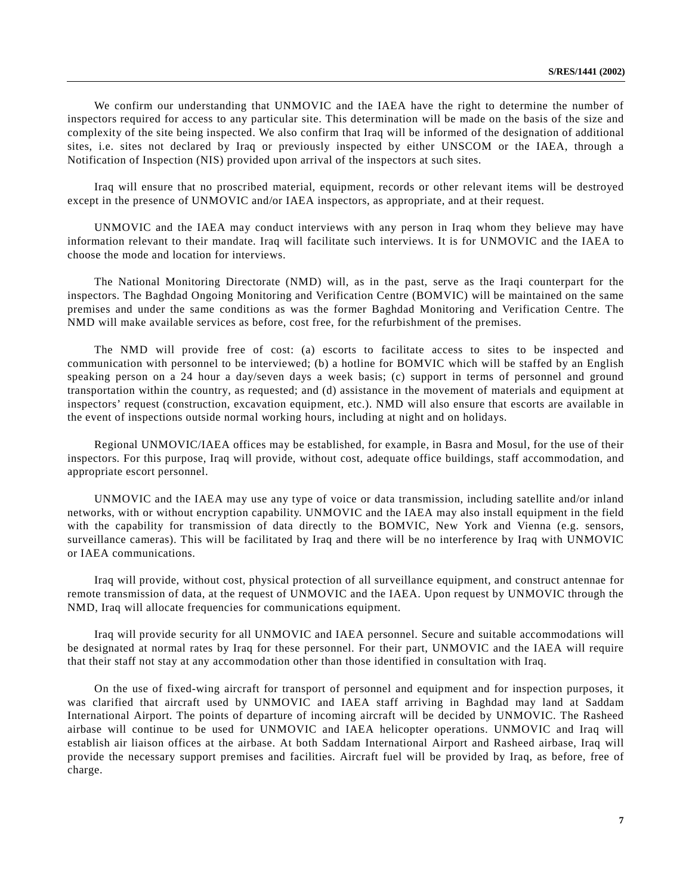We confirm our understanding that UNMOVIC and the IAEA have the right to determine the number of inspectors required for access to any particular site. This determination will be made on the basis of the size and complexity of the site being inspected. We also confirm that Iraq will be informed of the designation of additional sites, i.e. sites not declared by Iraq or previously inspected by either UNSCOM or the IAEA, through a Notification of Inspection (NIS) provided upon arrival of the inspectors at such sites.

Iraq will ensure that no proscribed material, equipment, records or other relevant items will be destroyed except in the presence of UNMOVIC and/or IAEA inspectors, as appropriate, and at their request.

UNMOVIC and the IAEA may conduct interviews with any person in Iraq whom they believe may have information relevant to their mandate. Iraq will facilitate such interviews. It is for UNMOVIC and the IAEA to choose the mode and location for interviews.

The National Monitoring Directorate (NMD) will, as in the past, serve as the Iraqi counterpart for the inspectors. The Baghdad Ongoing Monitoring and Verification Centre (BOMVIC) will be maintained on the same premises and under the same conditions as was the former Baghdad Monitoring and Verification Centre. The NMD will make available services as before, cost free, for the refurbishment of the premises.

The NMD will provide free of cost: (a) escorts to facilitate access to sites to be inspected and communication with personnel to be interviewed; (b) a hotline for BOMVIC which will be staffed by an English speaking person on a 24 hour a day/seven days a week basis; (c) support in terms of personnel and ground transportation within the country, as requested; and (d) assistance in the movement of materials and equipment at inspectors' request (construction, excavation equipment, etc.). NMD will also ensure that escorts are available in the event of inspections outside normal working hours, including at night and on holidays.

Regional UNMOVIC/IAEA offices may be established, for example, in Basra and Mosul, for the use of their inspectors. For this purpose, Iraq will provide, without cost, adequate office buildings, staff accommodation, and appropriate escort personnel.

UNMOVIC and the IAEA may use any type of voice or data transmission, including satellite and/or inland networks, with or without encryption capability. UNMOVIC and the IAEA may also install equipment in the field with the capability for transmission of data directly to the BOMVIC, New York and Vienna (e.g. sensors, surveillance cameras). This will be facilitated by Iraq and there will be no interference by Iraq with UNMOVIC or IAEA communications.

Iraq will provide, without cost, physical protection of all surveillance equipment, and construct antennae for remote transmission of data, at the request of UNMOVIC and the IAEA. Upon request by UNMOVIC through the NMD, Iraq will allocate frequencies for communications equipment.

Iraq will provide security for all UNMOVIC and IAEA personnel. Secure and suitable accommodations will be designated at normal rates by Iraq for these personnel. For their part, UNMOVIC and the IAEA will require that their staff not stay at any accommodation other than those identified in consultation with Iraq.

On the use of fixed-wing aircraft for transport of personnel and equipment and for inspection purposes, it was clarified that aircraft used by UNMOVIC and IAEA staff arriving in Baghdad may land at Saddam International Airport. The points of departure of incoming aircraft will be decided by UNMOVIC. The Rasheed airbase will continue to be used for UNMOVIC and IAEA helicopter operations. UNMOVIC and Iraq will establish air liaison offices at the airbase. At both Saddam International Airport and Rasheed airbase, Iraq will provide the necessary support premises and facilities. Aircraft fuel will be provided by Iraq, as before, free of charge.